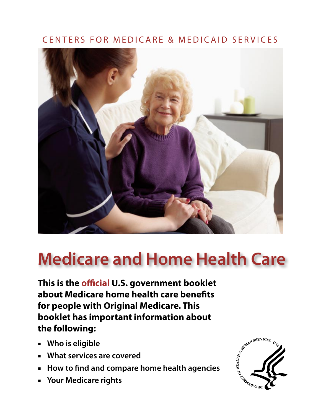## CENTERS FOR MEDICARE & MEDICAID SERVICES



# **Medicare and Home Health Care**

**This is the official U.S. government booklet about Medicare home health care benefits for people with Original Medicare. This booklet has important information about the following:** 

- **Who is eligible**
- **What services are covered**
- **How to find and compare home health agencies**
- **Your Medicare rights**

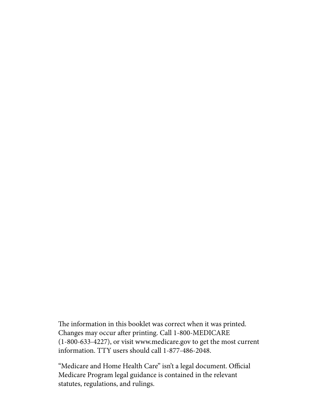The information in this booklet was correct when it was printed. Changes may occur after printing. Call 1-800-MEDICARE (1-800-633-4227), or visit <www.medicare.gov>to get the most current information. TTY users should call 1-877-486-2048.

"Medicare and Home Health Care" isn't a legal document. Official Medicare Program legal guidance is contained in the relevant statutes, regulations, and rulings.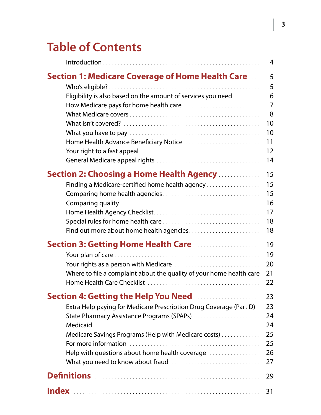## **Table of Contents**

| <b>Section 1: Medicare Coverage of Home Health Care 2006.</b>                                                                                                                             |                            |
|-------------------------------------------------------------------------------------------------------------------------------------------------------------------------------------------|----------------------------|
| Eligibility is also based on the amount of services you need  6                                                                                                                           |                            |
|                                                                                                                                                                                           |                            |
|                                                                                                                                                                                           | 14                         |
| <b>Section 2: Choosing a Home Health Agency Moreovich 15</b><br>Finding a Medicare-certified home health agency                                                                           | 15<br>16<br>17<br>18       |
| <b>Section 3: Getting Home Health Care More Advisor Agency</b><br>Where to file a complaint about the quality of your home health care                                                    | 19<br>19<br>20<br>21<br>22 |
|                                                                                                                                                                                           |                            |
| Extra Help paying for Medicare Prescription Drug Coverage (Part D) . 23<br>Medicare Savings Programs (Help with Medicare costs)  25<br>Help with questions about home health coverage  26 |                            |
|                                                                                                                                                                                           |                            |
|                                                                                                                                                                                           |                            |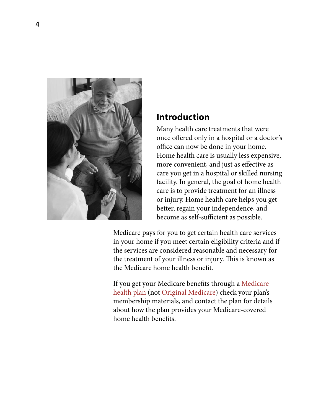<span id="page-3-0"></span>

### **Introduction**

Many health care treatments that were once offered only in a hospital or a doctor's office can now be done in your home. Home health care is usually less expensive, more convenient, and just as effective as care you get in a hospital or skilled nursing facility. In general, the goal of home health care is to provide treatment for an illness or injury. Home health care helps you get better, regain your independence, and become as self-sufficient as possible.

Medicare pays for you to get certain health care services in your home if you meet certain eligibility criteria and if the services are considered reasonable and necessary for the treatment of your illness or injury. This is known as the Medicare home health benefit.

If you get your Medicare benefits through a [Medicare](#page-29-0)  [health plan](#page-29-0) (not [Original Medicare](#page-29-1)) check your plan's membership materials, and contact the plan for details about how the plan provides your Medicare-covered home health benefits.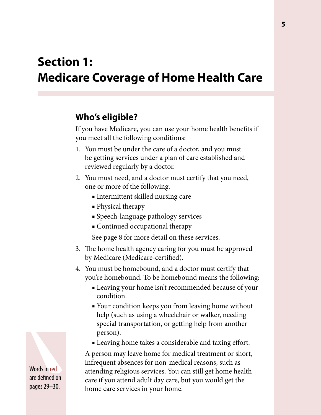## <span id="page-4-0"></span>**Section 1: Medicare Coverage of Home Health Care**

## **Who's eligible?**

If you have Medicare, you can use your home health benefits if you meet all the following conditions:

- 1. You must be under the care of a doctor, and you must be getting services under a plan of care established and reviewed regularly by a doctor.
- 2. You must need, and a doctor must certify that you need, one or more of the following.
	- Intermittent skilled nursing care
	- Physical therapy
	- Speech-language pathology services
	- Continued occupational therapy

See [page 8](#page-7-0) for more detail on these services.

- 3. The home health agency caring for you must be approved by Medicare (Medicare-certified).
- 4. You must be homebound, and a doctor must certify that you're homebound. To be homebound means the following:
	- Leaving your home isn't recommended because of your condition.
	- Your condition keeps you from leaving home without help (such as using a wheelchair or walker, needing special transportation, or getting help from another person).
	- Leaving home takes a considerable and taxing effort.

A person may leave home for medical treatment or short, infrequent absences for non-medical reasons, such as attending religious services. You can still get home health care if you attend adult day care, but you would get the home care services in your home.

Words in red are defined on pages 29–30.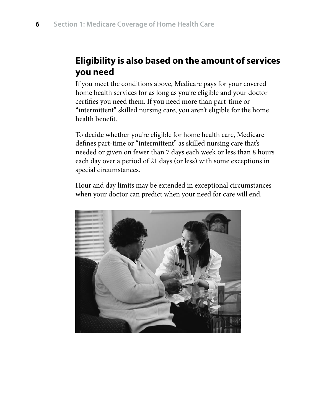## <span id="page-5-0"></span>**Eligibility is also based on the amount of services you need**

If you meet the conditions above, Medicare pays for your covered home health services for as long as you're eligible and your doctor certifies you need them. If you need more than part-time or "intermittent" skilled nursing care, you aren't eligible for the home health benefit.

To decide whether you're eligible for home health care, Medicare defines part-time or "intermittent" as skilled nursing care that's needed or given on fewer than 7 days each week or less than 8 hours each day over a period of 21 days (or less) with some exceptions in special circumstances.

Hour and day limits may be extended in exceptional circumstances when your doctor can predict when your need for care will end.

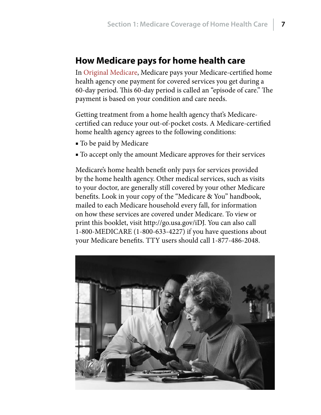### <span id="page-6-0"></span>**How Medicare pays for home health care**

In [Original Medicare,](#page-29-1) Medicare pays your Medicare-certified home health agency one payment for covered services you get during a 60-day period. This 60-day period is called an "episode of care." The payment is based on your condition and care needs.

Getting treatment from a home health agency that's Medicarecertified can reduce your out-of-pocket costs. A Medicare-certified home health agency agrees to the following conditions:

- To be paid by Medicare
- To accept only the amount Medicare approves for their services

Medicare's home health benefit only pays for services provided by the home health agency. Other medical services, such as visits to your doctor, are generally still covered by your other Medicare benefits. Look in your copy of the "Medicare & You" handbook, mailed to each Medicare household every fall, for information on how these services are covered under Medicare. To view or print this booklet, visit [http://go.usa.gov/iDJ.](http://go.usa.gov/iDJ) You can also call 1-800-MEDICARE (1-800-633-4227) if you have questions about your Medicare benefits. TTY users should call 1-877-486-2048.

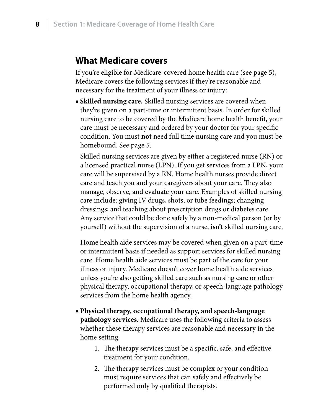### <span id="page-7-0"></span>**What Medicare covers**

If you're eligible for Medicare-covered home health care (see [page](#page-4-0) 5), Medicare covers the following services if they're reasonable and necessary for the treatment of your illness or injury:

**EXECTED FIRELY SKILLED IS SET UP:** Skilled nursing services are covered when they're given on a part-time or intermittent basis. In order for skilled nursing care to be covered by the Medicare home health benefit, your care must be necessary and ordered by your doctor for your specific condition. You must **not** need full time nursing care and you must be homebound. See [page 5](#page-4-0).

Skilled nursing services are given by either a registered nurse (RN) or a licensed practical nurse (LPN). If you get services from a LPN, your care will be supervised by a RN. Home health nurses provide direct care and teach you and your caregivers about your care. They also manage, observe, and evaluate your care. Examples of skilled nursing care include: giving IV drugs, shots, or tube feedings; changing dressings; and teaching about prescription drugs or diabetes care. Any service that could be done safely by a non-medical person (or by yourself) without the supervision of a nurse, **isn't** skilled nursing care.

Home health aide services may be covered when given on a part-time or intermittent basis if needed as support services for skilled nursing care. Home health aide services must be part of the care for your illness or injury. Medicare doesn't cover home health aide services unless you're also getting skilled care such as nursing care or other physical therapy, occupational therapy, or speech-language pathology services from the home health agency.

- **Physical therapy, occupational therapy, and speech-language pathology services.** Medicare uses the following criteria to assess whether these therapy services are reasonable and necessary in the home setting:
	- 1. The therapy services must be a specific, safe, and effective treatment for your condition.
	- 2. The therapy services must be complex or your condition must require services that can safely and effectively be performed only by qualified therapists.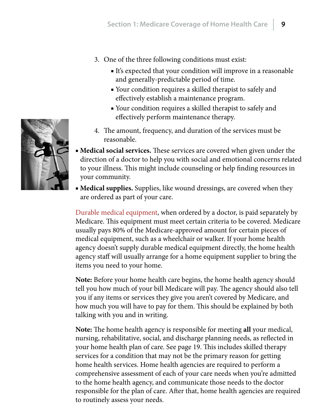- <span id="page-8-0"></span>3. One of the three following conditions must exist:
	- It's expected that your condition will improve in a reasonable and generally-predictable period of time.
	- Your condition requires a skilled therapist to safely and effectively establish a maintenance program.
	- Your condition requires a skilled therapist to safely and effectively perform maintenance therapy.
- 4. The amount, frequency, and duration of the services must be reasonable.
- **Medical social services.** These services are covered when given under the direction of a doctor to help you with social and emotional concerns related to your illness. This might include counseling or help finding resources in your community.
- **Medical supplies.** Supplies, like wound dressings, are covered when they are ordered as part of your care.

[Durable medical equipment](#page-28-1), when ordered by a doctor, is paid separately by Medicare. This equipment must meet certain criteria to be covered. Medicare usually pays 80% of the Medicare-approved amount for certain pieces of medical equipment, such as a wheelchair or walker. If your home health agency doesn't supply durable medical equipment directly, the home health agency staff will usually arrange for a home equipment supplier to bring the items you need to your home.

**Note:** Before your home health care begins, the home health agency should tell you how much of your bill Medicare will pay. The agency should also tell you if any items or services they give you aren't covered by Medicare, and how much you will have to pay for them. This should be explained by both talking with you and in writing.

**Note:** The home health agency is responsible for meeting **all** your medical, nursing, rehabilitative, social, and discharge planning needs, as reflected in your home health plan of care. See [page](#page-18-0) 19. This includes skilled therapy services for a condition that may not be the primary reason for getting home health services. Home health agencies are required to perform a comprehensive assessment of each of your care needs when you're admitted to the home health agency, and communicate those needs to the doctor responsible for the plan of care. After that, home health agencies are required to routinely assess your needs.

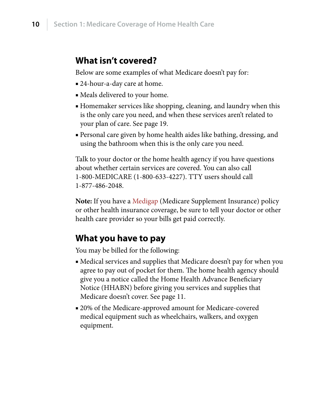### <span id="page-9-0"></span>**What isn't covered?**

Below are some examples of what Medicare doesn't pay for:

- 24-hour-a-day care at home.
- Meals delivered to your home.
- Homemaker services like shopping, cleaning, and laundry when this is the only care you need, and when these services aren't related to your plan of care. See [page 19.](#page-18-0)
- Personal care given by home health aides like bathing, dressing, and using the bathroom when this is the only care you need.

Talk to your doctor or the home health agency if you have questions about whether certain services are covered. You can also call 1-800-MEDICARE (1-800-633-4227). TTY users should call 1-877-486-2048.

**Note:** If you have a [Medigap](#page-29-2) (Medicare Supplement Insurance) policy or other health insurance coverage, be sure to tell your doctor or other health care provider so your bills get paid correctly.

### **What you have to pay**

You may be billed for the following:

- Medical services and supplies that Medicare doesn't pay for when you agree to pay out of pocket for them. The home health agency should give you a notice called the Home Health Advance Beneficiary Notice (HHABN) before giving you services and supplies that Medicare doesn't cover. See [page 11](#page-10-0).
- 20% of the Medicare-approved amount for Medicare-covered medical equipment such as wheelchairs, walkers, and oxygen equipment.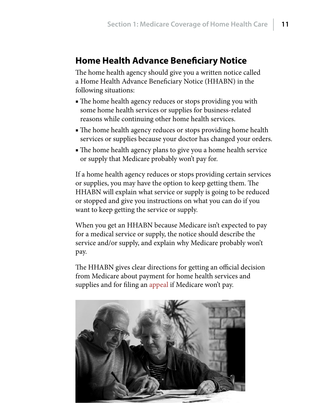## <span id="page-10-0"></span>**Home Health Advance Beneficiary Notice**

The home health agency should give you a written notice called a Home Health Advance Beneficiary Notice (HHABN) in the following situations:

- The home health agency reduces or stops providing you with some home health services or supplies for business-related reasons while continuing other home health services.
- The home health agency reduces or stops providing home health services or supplies because your doctor has changed your orders.
- The home health agency plans to give you a home health service or supply that Medicare probably won't pay for.

If a home health agency reduces or stops providing certain services or supplies, you may have the option to keep getting them. The HHABN will explain what service or supply is going to be reduced or stopped and give you instructions on what you can do if you want to keep getting the service or supply.

When you get an HHABN because Medicare isn't expected to pay for a medical service or supply, the notice should describe the service and/or supply, and explain why Medicare probably won't pay.

The HHABN gives clear directions for getting an official decision from Medicare about payment for home health services and supplies and for filing an [appeal](#page-28-2) if Medicare won't pay.

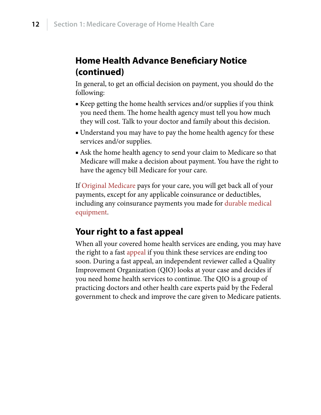## <span id="page-11-0"></span>**Home Health Advance Beneficiary Notice (continued)**

In general, to get an official decision on payment, you should do the following:

- Keep getting the home health services and/or supplies if you think you need them. The home health agency must tell you how much they will cost. Talk to your doctor and family about this decision.
- Understand you may have to pay the home health agency for these services and/or supplies.
- Ask the home health agency to send your claim to Medicare so that Medicare will make a decision about payment. You have the right to have the agency bill Medicare for your care.

If [Original Medicare](#page-29-1) pays for your care, you will get back all of your payments, except for any applicable coinsurance or deductibles, including any coinsurance payments you made for [durable medical](#page-28-1)  [equipment](#page-28-1).

## **Your right to a fast appeal**

When all your covered home health services are ending, you may have the right to a fast [appeal](#page-28-2) if you think these services are ending too soon. During a fast appeal, an independent reviewer called a Quality Improvement Organization (QIO) looks at your case and decides if you need home health services to continue. The QIO is a group of practicing doctors and other health care experts paid by the Federal government to check and improve the care given to Medicare patients.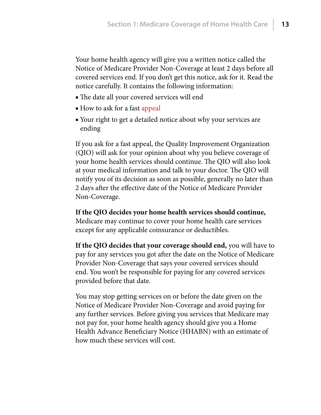<span id="page-12-0"></span>Your home health agency will give you a written notice called the Notice of Medicare Provider Non-Coverage at least 2 days before all covered services end. If you don't get this notice, ask for it. Read the notice carefully. It contains the following information:

- The date all your covered services will end
- How to ask for a fast [appeal](#page-28-2)
- Your right to get a detailed notice about why your services are ending

If you ask for a fast appeal, the Quality Improvement Organization (QIO) will ask for your opinion about why you believe coverage of your home health services should continue. The QIO will also look at your medical information and talk to your doctor. The QIO will notify you of its decision as soon as possible, generally no later than 2 days after the effective date of the Notice of Medicare Provider Non-Coverage.

**If the QIO decides your home health services should continue,** Medicare may continue to cover your home health care services except for any applicable coinsurance or deductibles.

**If the QIO decides that your coverage should end,** you will have to pay for any services you got after the date on the Notice of Medicare Provider Non-Coverage that says your covered services should end. You won't be responsible for paying for any covered services provided before that date.

You may stop getting services on or before the date given on the Notice of Medicare Provider Non-Coverage and avoid paying for any further services. Before giving you services that Medicare may not pay for, your home health agency should give you a Home Health Advance Beneficiary Notice (HHABN) with an estimate of how much these services will cost.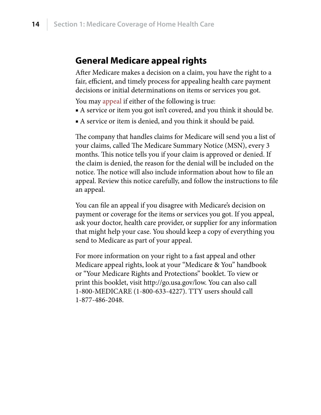### <span id="page-13-0"></span>**General Medicare appeal rights**

After Medicare makes a decision on a claim, you have the right to a fair, efficient, and timely process for appealing health care payment decisions or initial determinations on items or services you got.

You may [appeal](#page-28-2) if either of the following is true:

- A service or item you got isn't covered, and you think it should be.
- A service or item is denied, and you think it should be paid.

The company that handles claims for Medicare will send you a list of your claims, called The Medicare Summary Notice (MSN), every 3 months. This notice tells you if your claim is approved or denied. If the claim is denied, the reason for the denial will be included on the notice. The notice will also include information about how to file an appeal. Review this notice carefully, and follow the instructions to file an appeal.

You can file an appeal if you disagree with Medicare's decision on payment or coverage for the items or services you got. If you appeal, ask your doctor, health care provider, or supplier for any information that might help your case. You should keep a copy of everything you send to Medicare as part of your appeal.

For more information on your right to a fast appeal and other Medicare appeal rights, look at your "Medicare & You" handbook or "Your Medicare Rights and Protections" booklet. To view or print this booklet, visit<http://go.usa.gov/low>. You can also call 1-800-MEDICARE (1-800-633-4227). TTY users should call 1-877-486-2048.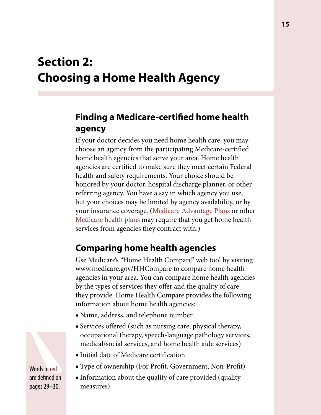## <span id="page-14-0"></span>**Section 2: Choosing a Home Health Agency**

## **Finding a Medicare-certified home health agency**

If your doctor decides you need home health care, you may choose an agency from the participating Medicare-certified home health agencies that serve your area. Home health agencies are certified to make sure they meet certain Federal health and safety requirements. Your choice should be honored by your doctor, hospital discharge planner, or other referring agency. You have a say in which agency you use, but your choices may be limited by agency availability, or by your insurance coverage. ([Medicare Advantage Plans](#page-28-3) or other [Medicare health plans](#page-29-0) may require that you get home health services from agencies they contract with.)

## **Comparing home health agencies**

Use Medicare's "Home Health Compare" web tool by visiting <www.medicare.gov/HHCompare>to compare home health agencies in your area. You can compare home health agencies by the types of services they offer and the quality of care they provide. Home Health Compare provides the following information about home health agencies:

- Name, address, and telephone number
- Services offered (such as nursing care, physical therapy, occupational therapy, speech-language pathology services, medical/social services, and home health aide services)
- Initial date of Medicare certification
- Type of ownership (For Profit, Government, Non-Profit)
- Information about the quality of care provided (quality measures)

Words in red are defined on pages 29–30.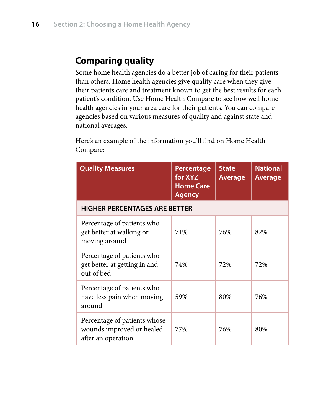## <span id="page-15-0"></span>**Comparing quality**

Some home health agencies do a better job of caring for their patients than others. Home health agencies give quality care when they give their patients care and treatment known to get the best results for each patient's condition. Use Home Health Compare to see how well home health agencies in your area care for their patients. You can compare agencies based on various measures of quality and against state and national averages.

Here's an example of the information you'll find on Home Health Compare:

| <b>Quality Measures</b>                                                         | Percentage<br>for XYZ<br><b>Home Care</b><br><b>Agency</b> | <b>State</b><br><b>Average</b> | <b>National</b><br><b>Average</b> |  |  |  |
|---------------------------------------------------------------------------------|------------------------------------------------------------|--------------------------------|-----------------------------------|--|--|--|
| <b>HIGHER PERCENTAGES ARE BETTER</b>                                            |                                                            |                                |                                   |  |  |  |
| Percentage of patients who<br>get better at walking or<br>moving around         | 71%                                                        | 76%                            | 82%                               |  |  |  |
| Percentage of patients who<br>get better at getting in and<br>out of bed        | 74%                                                        | 72%                            | 72%                               |  |  |  |
| Percentage of patients who<br>have less pain when moving<br>around              | 59%                                                        | 80%                            | 76%                               |  |  |  |
| Percentage of patients whose<br>wounds improved or healed<br>after an operation | 77%                                                        | 76%                            | 80%                               |  |  |  |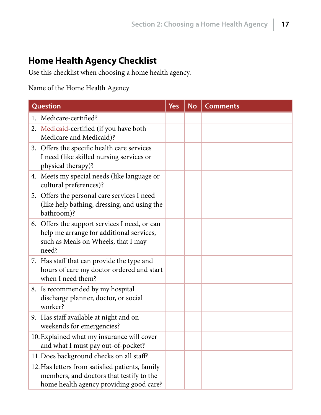## <span id="page-16-0"></span>**Home Health Agency Checklist**

Use this checklist when choosing a home health agency.

Name of the Home Health Agency\_\_\_\_\_\_\_\_\_\_\_\_\_\_\_\_\_\_\_\_\_\_\_\_\_\_\_\_\_\_\_\_\_\_\_\_\_\_\_

| Question                                                                                                                                  | <b>Yes</b> | <b>No</b> | <b>Comments</b> |
|-------------------------------------------------------------------------------------------------------------------------------------------|------------|-----------|-----------------|
| 1. Medicare-certified?                                                                                                                    |            |           |                 |
| 2. Medicaid-certified (if you have both<br>Medicare and Medicaid)?                                                                        |            |           |                 |
| 3. Offers the specific health care services<br>I need (like skilled nursing services or<br>physical therapy)?                             |            |           |                 |
| 4. Meets my special needs (like language or<br>cultural preferences)?                                                                     |            |           |                 |
| 5. Offers the personal care services I need<br>(like help bathing, dressing, and using the<br>bathroom)?                                  |            |           |                 |
| 6. Offers the support services I need, or can<br>help me arrange for additional services,<br>such as Meals on Wheels, that I may<br>need? |            |           |                 |
| 7. Has staff that can provide the type and<br>hours of care my doctor ordered and start<br>when I need them?                              |            |           |                 |
| 8. Is recommended by my hospital<br>discharge planner, doctor, or social<br>worker?                                                       |            |           |                 |
| 9. Has staff available at night and on<br>weekends for emergencies?                                                                       |            |           |                 |
| 10. Explained what my insurance will cover<br>and what I must pay out-of-pocket?                                                          |            |           |                 |
| 11. Does background checks on all staff?                                                                                                  |            |           |                 |
| 12. Has letters from satisfied patients, family<br>members, and doctors that testify to the<br>home health agency providing good care?    |            |           |                 |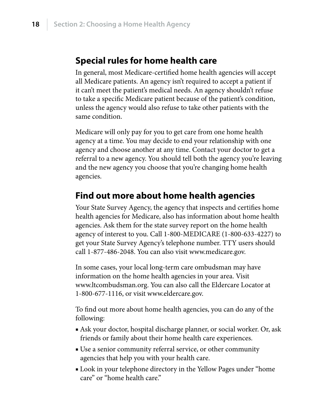### <span id="page-17-0"></span>**Special rules for home health care**

In general, most Medicare-certified home health agencies will accept all Medicare patients. An agency isn't required to accept a patient if it can't meet the patient's medical needs. An agency shouldn't refuse to take a specific Medicare patient because of the patient's condition, unless the agency would also refuse to take other patients with the same condition.

Medicare will only pay for you to get care from one home health agency at a time. You may decide to end your relationship with one agency and choose another at any time. Contact your doctor to get a referral to a new agency. You should tell both the agency you're leaving and the new agency you choose that you're changing home health agencies.

### **Find out more about home health agencies**

Your State Survey Agency, the agency that inspects and certifies home health agencies for Medicare, also has information about home health agencies. Ask them for the state survey report on the home health agency of interest to you. Call 1-800-MEDICARE (1-800-633-4227) to get your State Survey Agency's telephone number. TTY users should call 1-877-486-2048. You can also visit [www.medicare.gov.](www.medicare.gov)

In some cases, your local long-term care ombudsman may have information on the home health agencies in your area. Visit [www.ltcombudsman.org.](www.ltcombudsman.org) You can also call the Eldercare Locator at 1-800-677-1116, or visit [www.eldercare.gov.](www.eldercare.gov)

To find out more about home health agencies, you can do any of the following:

- Ask your doctor, hospital discharge planner, or social worker. Or, ask friends or family about their home health care experiences.
- Use a senior community referral service, or other community agencies that help you with your health care.
- Look in your telephone directory in the Yellow Pages under "home" care" or "home health care."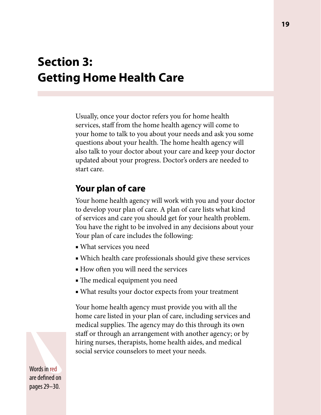## <span id="page-18-0"></span>**Section 3: Getting Home Health Care**

Usually, once your doctor refers you for home health services, staff from the home health agency will come to your home to talk to you about your needs and ask you some questions about your health. The home health agency will also talk to your doctor about your care and keep your doctor updated about your progress. Doctor's orders are needed to start care.

### **Your plan of care**

Your home health agency will work with you and your doctor to develop your plan of care. A plan of care lists what kind of services and care you should get for your health problem. You have the right to be involved in any decisions about your Your plan of care includes the following:

- What services you need
- Which health care professionals should give these services
- How often you will need the services
- The medical equipment you need
- What results your doctor expects from your treatment

Your home health agency must provide you with all the home care listed in your plan of care, including services and medical supplies. The agency may do this through its own staff or through an arrangement with another agency; or by hiring nurses, therapists, home health aides, and medical social service counselors to meet your needs.

Words in red are defined on pages 29–30.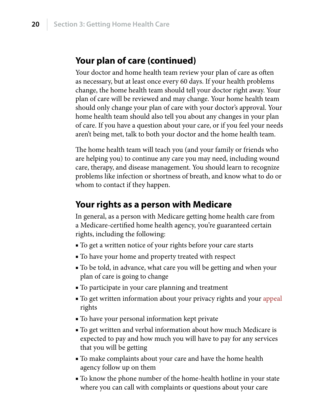### <span id="page-19-0"></span>**Your plan of care (continued)**

Your doctor and home health team review your plan of care as often as necessary, but at least once every 60 days. If your health problems change, the home health team should tell your doctor right away. Your plan of care will be reviewed and may change. Your home health team should only change your plan of care with your doctor's approval. Your home health team should also tell you about any changes in your plan of care. If you have a question about your care, or if you feel your needs aren't being met, talk to both your doctor and the home health team.

The home health team will teach you (and your family or friends who are helping you) to continue any care you may need, including wound care, therapy, and disease management. You should learn to recognize problems like infection or shortness of breath, and know what to do or whom to contact if they happen.

### **Your rights as a person with Medicare**

In general, as a person with Medicare getting home health care from a Medicare-certified home health agency, you're guaranteed certain rights, including the following:

- To get a written notice of your rights before your care starts
- To have your home and property treated with respect
- To be told, in advance, what care you will be getting and when your plan of care is going to change
- To participate in your care planning and treatment
- To get written information about your privacy rights and your appeal rights
- To have your personal information kept private
- To get written and verbal information about how much Medicare is expected to pay and how much you will have to pay for any services that you will be getting
- To make complaints about your care and have the home health agency follow up on them
- To know the phone number of the home-health hotline in your state where you can call with complaints or questions about your care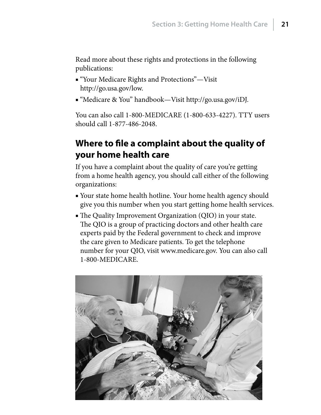<span id="page-20-0"></span>Read more about these rights and protections in the following publications:

- "Your Medicare Rights and Protections"—Visit <http://go.usa.gov/low>.
- "Medicare & You" handbook—Visit<http://go.usa.gov/iDJ>.

You can also call 1-800-MEDICARE (1-800-633-4227). TTY users should call 1-877-486-2048.

## **Where to file a complaint about the quality of your home health care**

If you have a complaint about the quality of care you're getting from a home health agency, you should call either of the following organizations:

- Your state home health hotline. Your home health agency should give you this number when you start getting home health services.
- The Quality Improvement Organization (QIO) in your state. The QIO is a group of practicing doctors and other health care experts paid by the Federal government to check and improve the care given to Medicare patients. To get the telephone number for your QIO, visit <www.medicare.gov>. You can also call 1-800-MEDICARE.

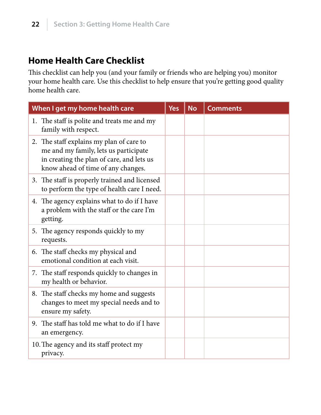## <span id="page-21-0"></span>**Home Health Care Checklist**

This checklist can help you (and your family or friends who are helping you) monitor your home health care. Use this checklist to help ensure that you're getting good quality home health care.

| When I get my home health care                                                                                                                                       | <b>Yes</b> | <b>No</b> | <b>Comments</b> |
|----------------------------------------------------------------------------------------------------------------------------------------------------------------------|------------|-----------|-----------------|
| 1. The staff is polite and treats me and my<br>family with respect.                                                                                                  |            |           |                 |
| 2. The staff explains my plan of care to<br>me and my family, lets us participate<br>in creating the plan of care, and lets us<br>know ahead of time of any changes. |            |           |                 |
| 3. The staff is properly trained and licensed<br>to perform the type of health care I need.                                                                          |            |           |                 |
| 4. The agency explains what to do if I have<br>a problem with the staff or the care I'm<br>getting.                                                                  |            |           |                 |
| 5. The agency responds quickly to my<br>requests.                                                                                                                    |            |           |                 |
| 6. The staff checks my physical and<br>emotional condition at each visit.                                                                                            |            |           |                 |
| 7. The staff responds quickly to changes in<br>my health or behavior.                                                                                                |            |           |                 |
| 8. The staff checks my home and suggests<br>changes to meet my special needs and to<br>ensure my safety.                                                             |            |           |                 |
| 9. The staff has told me what to do if I have<br>an emergency.                                                                                                       |            |           |                 |
| 10. The agency and its staff protect my<br>privacy.                                                                                                                  |            |           |                 |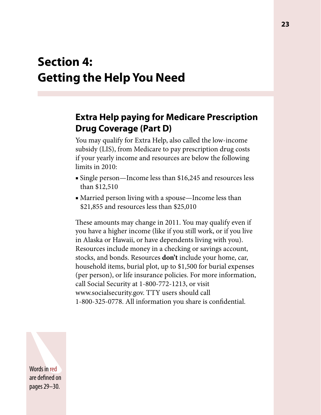## <span id="page-22-0"></span>**Section 4: Getting the Help You Need**

## **Extra Help paying for Medicare Prescription Drug Coverage (Part D)**

You may qualify for Extra Help, also called the low-income subsidy (LIS), from Medicare to pay prescription drug costs if your yearly income and resources are below the following limits in 2010:

- Single person—Income less than \$16,245 and resources less than \$12,510
- Married person living with a spouse—Income less than \$21,855 and resources less than \$25,010

These amounts may change in 2011. You may qualify even if you have a higher income (like if you still work, or if you live in Alaska or Hawaii, or have dependents living with you). Resources include money in a checking or savings account, stocks, and bonds. Resources **don't** include your home, car, household items, burial plot, up to \$1,500 for burial expenses (per person), or life insurance policies. For more information, call Social Security at 1-800-772-1213, or visit [www.socialsecurity.gov.](www.socialsecurity.gov) TTY users should call 1-800-325-0778. All information you share is confidential.

Words in red are defined on pages 29–30.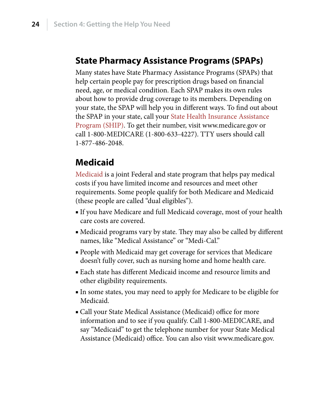### <span id="page-23-0"></span>**State Pharmacy Assistance Programs (SPAPs)**

Many states have State Pharmacy Assistance Programs (SPAPs) that help certain people pay for prescription drugs based on financial need, age, or medical condition. Each SPAP makes its own rules about how to provide drug coverage to its members. Depending on your state, the SPAP will help you in different ways. To find out about the SPAP in your state, call your [State Health Insurance Assistance](#page-29-3)  [Program \(SHIP\).](#page-29-3) To get their number, visit <www.medicare.gov>or call 1-800-MEDICARE (1-800-633-4227). TTY users should call 1-877-486-2048.

### **Medicaid**

[Medicaid](#page-28-4) is a joint Federal and state program that helps pay medical costs if you have limited income and resources and meet other requirements. Some people qualify for both Medicare and Medicaid (these people are called "dual eligibles").

- If you have Medicare and full Medicaid coverage, most of your health care costs are covered.
- Medicaid programs vary by state. They may also be called by different names, like "Medical Assistance" or "Medi-Cal."
- People with Medicaid may get coverage for services that Medicare doesn't fully cover, such as nursing home and home health care.
- Each state has different Medicaid income and resource limits and other eligibility requirements.
- In some states, you may need to apply for Medicare to be eligible for Medicaid.
- Call your State Medical Assistance (Medicaid) office for more information and to see if you qualify. Call 1-800-MEDICARE, and say "Medicaid" to get the telephone number for your State Medical Assistance (Medicaid) office. You can also visit<www.medicare.gov>.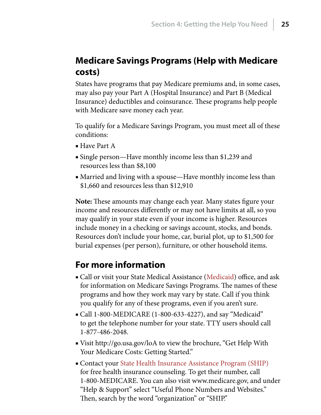## <span id="page-24-0"></span>**Medicare Savings Programs (Help with Medicare costs)**

States have programs that pay Medicare premiums and, in some cases, may also pay your Part A (Hospital Insurance) and Part B (Medical Insurance) deductibles and coinsurance. These programs help people with Medicare save money each year.

To qualify for a Medicare Savings Program, you must meet all of these conditions:

- Have Part A
- Single person—Have monthly income less than \$1,239 and resources less than \$8,100
- Married and living with a spouse—Have monthly income less than \$1,660 and resources less than \$12,910

**Note:** These amounts may change each year. Many states figure your income and resources differently or may not have limits at all, so you may qualify in your state even if your income is higher. Resources include money in a checking or savings account, stocks, and bonds. Resources don't include your home, car, burial plot, up to \$1,500 for burial expenses (per person), furniture, or other household items.

### **For more information**

- Call or visit your State Medical Assistance ([Medicaid](#page-28-4)) office, and ask for information on Medicare Savings Programs. The names of these programs and how they work may vary by state. Call if you think you qualify for any of these programs, even if you aren't sure.
- Call 1-800-MEDICARE (1-800-633-4227), and say "Medicaid" to get the telephone number for your state. TTY users should call 1-877-486-2048.
- Visit http://go.usa.gov/loA to view the brochure, "Get Help With Your Medicare Costs: Getting Started."
- Contact your [State Health Insurance Assistance Program \(SHIP\)](#page-29-3) for free health insurance counseling. To get their number, call 1-800-MEDICARE. You can also visit<www.medicare.gov>, and under "Help & Support" select "Useful Phone Numbers and Websites." Then, search by the word "organization" or "SHIP."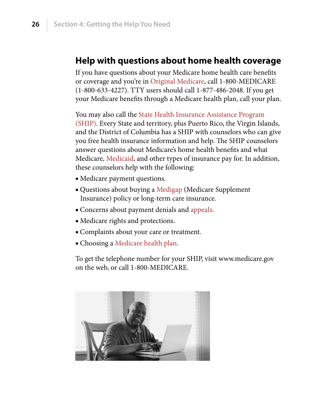### <span id="page-25-0"></span>**Help with questions about home health coverage**

If you have questions about your Medicare home health care benefits or coverage and you're in [Original Medicare,](#page-29-1) call 1-800-MEDICARE (1-800-633-4227). TTY users should call 1-877-486-2048. If you get your Medicare benefits through a Medicare health plan, call your plan.

You may also call the [State Health Insurance Assistance Program](#page-29-3)  [\(SHIP\).](#page-29-3) Every State and territory, plus Puerto Rico, the Virgin Islands, and the District of Columbia has a SHIP with counselors who can give you free health insurance information and help. The SHIP counselors answer questions about Medicare's home health benefits and what Medicare, [Medicaid,](#page-28-4) and other types of insurance pay for. In addition, these counselors help with the following:

- Medicare payment questions.
- Questions about buying a [Medigap](#page-29-2) (Medicare Supplement Insurance) policy or long-term care insurance.
- Concerns about payment denials and [appeals](#page-28-2).
- Medicare rights and protections.
- Complaints about your care or treatment.
- Choosing a [Medicare health plan](#page-29-0).

To get the telephone number for your SHIP, visit<www.medicare.gov> on the web, or call 1-800-MEDICARE.

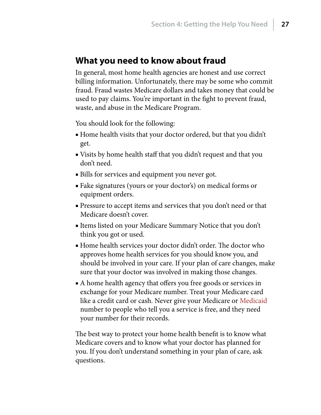### <span id="page-26-0"></span>**What you need to know about fraud**

In general, most home health agencies are honest and use correct billing information. Unfortunately, there may be some who commit fraud. Fraud wastes Medicare dollars and takes money that could be used to pay claims. You're important in the fight to prevent fraud, waste, and abuse in the Medicare Program.

You should look for the following:

- Home health visits that your doctor ordered, but that you didn't get.
- Visits by home health staff that you didn't request and that you don't need.
- Bills for services and equipment you never got.
- Fake signatures (yours or your doctor's) on medical forms or equipment orders.
- Pressure to accept items and services that you don't need or that Medicare doesn't cover.
- Items listed on your Medicare Summary Notice that you don't think you got or used.
- Home health services your doctor didn't order. The doctor who approves home health services for you should know you, and should be involved in your care. If your plan of care changes, make sure that your doctor was involved in making those changes.
- A home health agency that offers you free goods or services in exchange for your Medicare number. Treat your Medicare card like a credit card or cash. Never give your Medicare or [Medicaid](#page-28-4) number to people who tell you a service is free, and they need your number for their records.

The best way to protect your home health benefit is to know what Medicare covers and to know what your doctor has planned for you. If you don't understand something in your plan of care, ask questions.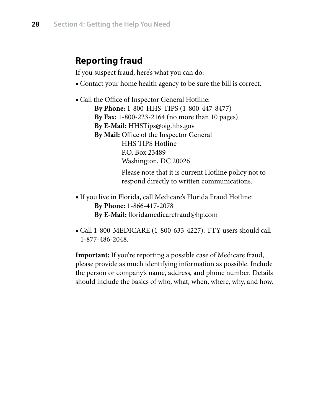## <span id="page-27-0"></span>**Reporting fraud**

If you suspect fraud, here's what you can do:

- Contact your home health agency to be sure the bill is correct.
- Call the Office of Inspector General Hotline: **By Phone:** 1-800-HHS-TIPS (1-800-447-8477) **By Fax:** 1-800-223-2164 (no more than 10 pages) **By E-Mail:** HHSTips@oig.hhs.gov **By Mail:** Office of the Inspector General HHS TIPS Hotline P.O. Box 23489 Washington, DC 20026 Please note that it is current Hotline policy not to respond directly to written communications.
- If you live in Florida, call Medicare's Florida Fraud Hotline: **By Phone:** 1-866-417-2078 **By E-Mail:** floridamedicarefraud@hp.com
- Call 1-800-MEDICARE (1-800-633-4227). TTY users should call 1-877-486-2048.

**Important:** If you're reporting a possible case of Medicare fraud, please provide as much identifying information as possible. Include the person or company's name, address, and phone number. Details should include the basics of who, what, when, where, why, and how.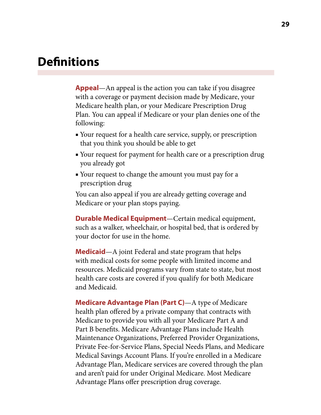## <span id="page-28-0"></span>**Definitions**

<span id="page-28-2"></span>**Appeal**—An appeal is the action you can take if you disagree with a coverage or payment decision made by Medicare, your Medicare health plan, or your Medicare Prescription Drug Plan. You can appeal if Medicare or your plan denies one of the following:

- Your request for a health care service, supply, or prescription that you think you should be able to get
- Your request for payment for health care or a prescription drug you already got
- Your request to change the amount you must pay for a prescription drug

You can also appeal if you are already getting coverage and Medicare or your plan stops paying.

<span id="page-28-1"></span>**Durable Medical Equipment**—Certain medical equipment, such as a walker, wheelchair, or hospital bed, that is ordered by your doctor for use in the home.

<span id="page-28-4"></span>**Medicaid**—A joint Federal and state program that helps with medical costs for some people with limited income and resources. Medicaid programs vary from state to state, but most health care costs are covered if you qualify for both Medicare and Medicaid.

<span id="page-28-3"></span>**Medicare Advantage Plan (Part C)**—A type of Medicare health plan offered by a private company that contracts with Medicare to provide you with all your Medicare Part A and Part B benefits. Medicare Advantage Plans include Health Maintenance Organizations, Preferred Provider Organizations, Private Fee-for-Service Plans, Special Needs Plans, and Medicare Medical Savings Account Plans. If you're enrolled in a Medicare Advantage Plan, Medicare services are covered through the plan and aren't paid for under Original Medicare. Most Medicare Advantage Plans offer prescription drug coverage.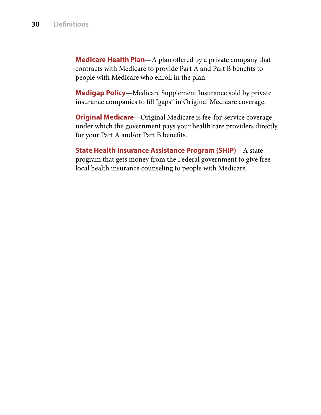<span id="page-29-4"></span><span id="page-29-0"></span>**Medicare Health Plan**—A plan offered by a private company that contracts with Medicare to provide Part A and Part B benefits to people with Medicare who enroll in the plan.

<span id="page-29-2"></span>**Medigap Policy**—Medicare Supplement Insurance sold by private insurance companies to fill "gaps" in Original Medicare coverage.

<span id="page-29-1"></span>**Original Medicare**—Original Medicare is fee-for-service coverage under which the government pays your health care providers directly for your Part A and/or Part B benefits.

<span id="page-29-3"></span>**State Health Insurance Assistance Program (SHIP)**—A state program that gets money from the Federal government to give free local health insurance counseling to people with Medicare.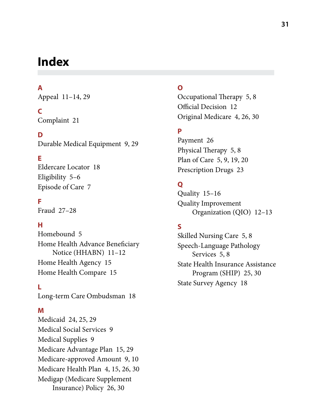## <span id="page-30-0"></span>**Index**

#### **A**

Appeal [11](#page-10-0)–[14](#page-13-0), [29](#page-28-0)

### **C**

Complaint [21](#page-20-0)

#### **D**

Durable Medical Equipment [9](#page-8-0), [29](#page-28-0)

### **E**

Eldercare Locator [18](#page-17-0) Eligibility [5](#page-4-0)–[6](#page-5-0) Episode of Care [7](#page-6-0)

#### **F**

Fraud [27](#page-26-0)[–28](#page-27-0)

### **H**

Homebound [5](#page-4-0) Home Health Advance Beneficiary Notice (HHABN) [11–](#page-10-0)[12](#page-11-0) Home Health Agency [15](#page-14-0) Home Health Compare [15](#page-14-0)

**L** Long-term Care Ombudsman [18](#page-17-0)

#### **M**

Medicaid [24](#page-23-0), [25](#page-24-0), [29](#page-28-0) Medical Social Services [9](#page-8-0) Medical Supplies [9](#page-8-0) Medicare Advantage Plan [15,](#page-14-0) [29](#page-28-0) Medicare-approved Amount [9,](#page-8-0) [10](#page-9-0) Medicare Health Plan [4,](#page-3-0) [15](#page-14-0), [26](#page-25-0), [30](#page-29-4) Medigap (Medicare Supplement Insurance) Policy [26](#page-25-0), [30](#page-29-4)

#### **O**

Occupational Therapy [5,](#page-4-0) [8](#page-7-0) Official Decision [12](#page-11-0) Original Medicare [4](#page-3-0), [26](#page-25-0), [30](#page-29-4)

### **P**

Payment [26](#page-25-0) Physical Therapy [5](#page-4-0), [8](#page-7-0) Plan of Care [5,](#page-4-0) [9,](#page-8-0) [19,](#page-18-0) [20](#page-19-0) Prescription Drugs [23](#page-22-0)

### **Q**

Quality [15–](#page-14-0)[16](#page-15-0) Quality Improvement Organization (QIO) [12–](#page-11-0)[13](#page-12-0)

### **S**

Skilled Nursing Care [5,](#page-4-0) [8](#page-7-0) Speech-Language Pathology Services [5](#page-4-0), [8](#page-7-0) State Health Insurance Assistance Program (SHIP) [25](#page-24-0), [30](#page-29-4) State Survey Agency [18](#page-17-0)